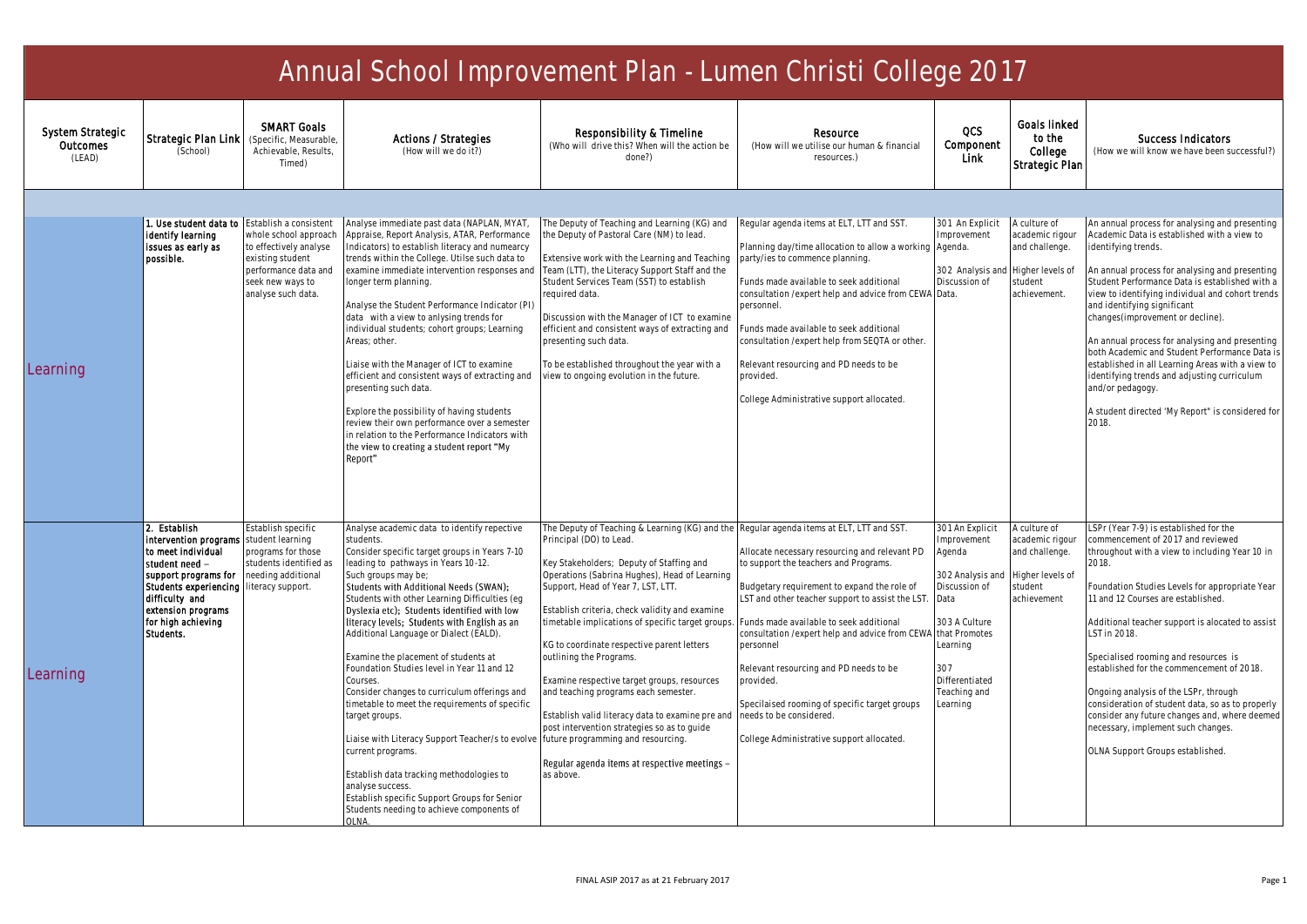| Annual School Improvement Plan - Lumen Christi College 2017 |                                                                                                                                                                                                                            |                                                                                                              |                                                                                                                                                                                                                                                                                                                                                                                                                                                                                                                                                                                                                                                                                                                                                                                                                                                                                  |                                                                                                                                                                                                                                                                                                                                                                                                                                                                                                                                                                                                                                                                                                                                      |                                                                                                                                                                                                                                                                                                                                                                                                                                                                                     |                                                                                                                                                                                          |                                                                                                 |                                                                                                                                                                                                                                                                                                                                                                                                                                                                                                                                                                                                                 |  |
|-------------------------------------------------------------|----------------------------------------------------------------------------------------------------------------------------------------------------------------------------------------------------------------------------|--------------------------------------------------------------------------------------------------------------|----------------------------------------------------------------------------------------------------------------------------------------------------------------------------------------------------------------------------------------------------------------------------------------------------------------------------------------------------------------------------------------------------------------------------------------------------------------------------------------------------------------------------------------------------------------------------------------------------------------------------------------------------------------------------------------------------------------------------------------------------------------------------------------------------------------------------------------------------------------------------------|--------------------------------------------------------------------------------------------------------------------------------------------------------------------------------------------------------------------------------------------------------------------------------------------------------------------------------------------------------------------------------------------------------------------------------------------------------------------------------------------------------------------------------------------------------------------------------------------------------------------------------------------------------------------------------------------------------------------------------------|-------------------------------------------------------------------------------------------------------------------------------------------------------------------------------------------------------------------------------------------------------------------------------------------------------------------------------------------------------------------------------------------------------------------------------------------------------------------------------------|------------------------------------------------------------------------------------------------------------------------------------------------------------------------------------------|-------------------------------------------------------------------------------------------------|-----------------------------------------------------------------------------------------------------------------------------------------------------------------------------------------------------------------------------------------------------------------------------------------------------------------------------------------------------------------------------------------------------------------------------------------------------------------------------------------------------------------------------------------------------------------------------------------------------------------|--|
| System Strategic<br>Outcomes<br>(LEAD)                      | Strategic Plan Link<br>(School)                                                                                                                                                                                            | <b>SMART Goals</b><br>(Specific, Measurable)<br>Achievable, Results,<br>Timed)                               | Actions / Strategies<br>(How will we do it?)                                                                                                                                                                                                                                                                                                                                                                                                                                                                                                                                                                                                                                                                                                                                                                                                                                     | Responsibility & Timeline<br>(Who will drive this? When will the action be<br>done?)                                                                                                                                                                                                                                                                                                                                                                                                                                                                                                                                                                                                                                                 | Resource<br>(How will we utilise our human & financial<br>resources.)                                                                                                                                                                                                                                                                                                                                                                                                               | <b>OCS</b><br>Component<br>Link                                                                                                                                                          | Goals linked<br>to the<br>College<br>Strategic Plan                                             | <b>Success Indicators</b><br>(How we will know we have been successful?)                                                                                                                                                                                                                                                                                                                                                                                                                                                                                                                                        |  |
|                                                             | 1. Use student data to Establish a consistent<br>Identify learning                                                                                                                                                         | whole school approach                                                                                        | Analyse immediate past data (NAPLAN, MYAT,<br>Appraise, Report Analysis, ATAR, Performance                                                                                                                                                                                                                                                                                                                                                                                                                                                                                                                                                                                                                                                                                                                                                                                       | The Deputy of Teaching and Learning (KG) and<br>the Deputy of Pastoral Care (NM) to lead.                                                                                                                                                                                                                                                                                                                                                                                                                                                                                                                                                                                                                                            | Regular agenda items at ELT, LTT and SST.                                                                                                                                                                                                                                                                                                                                                                                                                                           | 301 An Explicit<br>Improvement                                                                                                                                                           | A culture of<br>academic rigour                                                                 | An annual process for analysing and presenting<br>Academic Data is established with a view to                                                                                                                                                                                                                                                                                                                                                                                                                                                                                                                   |  |
| Learning                                                    | Issues as early as<br>possible.                                                                                                                                                                                            | to effectively analyse<br>existing student<br>performance data and<br>seek new ways to<br>analyse such data. | Indicators) to establish literacy and numearcy<br>trends within the College. Utilse such data to<br>examine immediate intervention responses and<br>longer term planning.<br>Analyse the Student Performance Indicator (PI)<br>data with a view to anlysing trends for<br>individual students; cohort groups; Learning<br>Areas; other.<br>Liaise with the Manager of ICT to examine<br>efficient and consistent ways of extracting and<br>presenting such data.<br>Explore the possibility of having students<br>review their own performance over a semester<br>in relation to the Performance Indicators with<br>the view to creating a student report "My<br>Report"                                                                                                                                                                                                         | Extensive work with the Learning and Teaching<br>Team (LTT), the Literacy Support Staff and the<br>Student Services Team (SST) to establish<br>required data.<br>Discussion with the Manager of ICT to examine<br>efficient and consistent ways of extracting and<br>presenting such data.<br>To be established throughout the year with a<br>view to ongoing evolution in the future.                                                                                                                                                                                                                                                                                                                                               | Planning day/time allocation to allow a working Agenda.<br>party/ies to commence planning.<br>unds made available to seek additional<br>consultation /expert help and advice from CEWA Data.<br>personnel.<br>unds made available to seek additional<br>consultation /expert help from SEQTA or other.<br>Relevant resourcing and PD needs to be<br>provided.<br>College Administrative support allocated.                                                                          | 302 Analysis and<br>Discussion of                                                                                                                                                        | and challenge.<br>Higher levels of<br>student<br>achievement.                                   | identifying trends.<br>An annual process for analysing and presenting<br>Student Performance Data is established with a<br>view to identifying individual and cohort trends<br>and identifying significant<br>changes(improvement or decline).<br>An annual process for analysing and presenting<br>both Academic and Student Performance Data i<br>established in all Learning Areas with a view to<br>identifying trends and adjusting curriculum<br>and/or pedagogy.<br>A student directed 'My Report" is considered for<br>2018.                                                                            |  |
| Learning                                                    | l2. Establish<br>Intervention programs<br>to meet individual<br>student need<br>support programs for<br>Students experiencing literacy support.<br>difficulty and<br>extension programs<br>for high achieving<br>Students. | Establish specific<br>student learning<br>programs for those<br>students identified as<br>needing additional | Analyse academic data to identify repective<br>students.<br>Consider specific target groups in Years 7-10<br>leading to pathways in Years 10-12.<br>Such groups may be:<br>Students with Additional Needs (SWAN);<br>Students with other Learning Difficulties (eq<br>Dyslexia etc): Students identified with low<br>literacy levels; Students with English as an<br>Additional Language or Dialect (EALD).<br>Examine the placement of students at<br>Foundation Studies level in Year 11 and 12<br>Courses.<br>Consider changes to curriculum offerings and<br>timetable to meet the requirements of specific<br>arget groups.<br>Liaise with Literacy Support Teacher/s to evolve<br>current programs.<br>Establish data tracking methodologies to<br>analyse success.<br>Establish specific Support Groups for Senior<br>Students needing to achieve components of<br>OI NA. | The Deputy of Teaching & Learning (KG) and the Regular agenda items at ELT, LTT and SST.<br>Principal (DO) to Lead.<br>Key Stakeholders; Deputy of Staffing and<br>Operations (Sabrina Hughes), Head of Learning<br>Support, Head of Year 7, LST, LTT.<br>Establish criteria, check validity and examine<br>timetable implications of specific target groups.<br>KG to coordinate respective parent letters<br>outlining the Programs.<br>Examine respective target groups, resources<br>and teaching programs each semester.<br>Establish valid literacy data to examine pre and<br>post intervention strategies so as to guide<br>future programming and resourcing.<br>Regular agenda items at respective meetings -<br>as above. | Allocate necessary resourcing and relevant PD<br>to support the teachers and Programs.<br>Budgetary requirement to expand the role of<br>LST and other teacher support to assist the LST.<br>unds made available to seek additional<br>consultation / expert help and advice from CEWA<br>personnel<br>Relevant resourcing and PD needs to be<br>provided.<br>Specilaised rooming of specific target groups<br>needs to be considered.<br>College Administrative support allocated. | 301 An Explicit<br>Improvement<br>Agenda<br>302 Analysis and<br>Discussion of<br>Data<br>303 A Culture<br>that Promotes<br>Learning<br>307<br>Differentiated<br>Teaching and<br>Learning | A culture of<br>academic rigour<br>and challenge.<br>Higher levels of<br>student<br>achievement | LSPr (Year 7-9) is established for the<br>commencement of 2017 and reviewed<br>throughout with a view to including Year 10 in<br>2018.<br>Foundation Studies Levels for appropriate Year<br>11 and 12 Courses are established.<br>Additional teacher support is alocated to assist<br>LST in 2018.<br>Specialised rooming and resources is<br>established for the commencement of 2018.<br>Ongoing analysis of the LSPr, through<br>consideration of student data, so as to properly<br>consider any future changes and, where deemed<br>necessary, implement such changes.<br>OLNA Support Groups established. |  |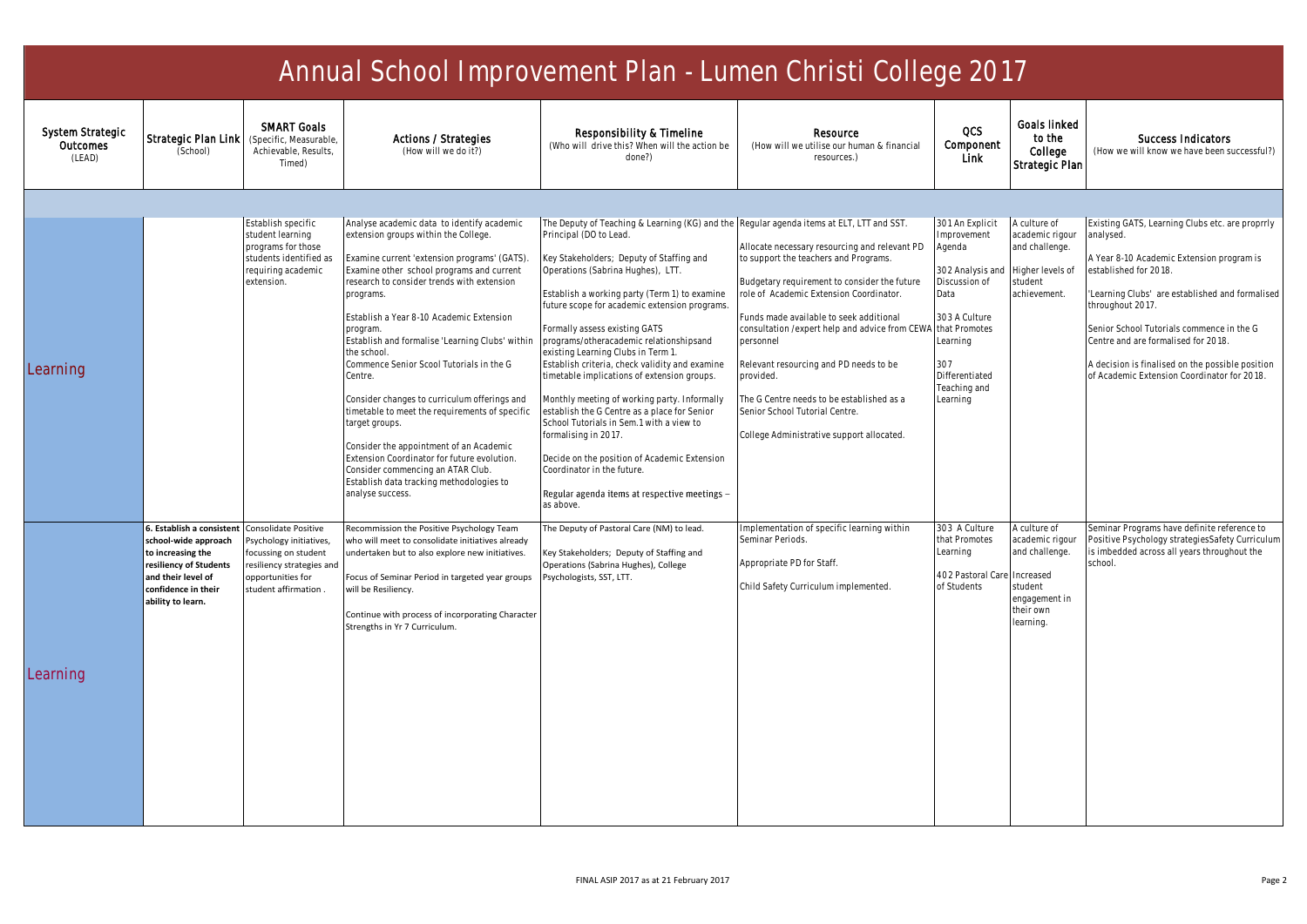| Annual School Improvement Plan - Lumen Christi College 2017 |                                                                                                                                                                                         |                                                                                                                            |                                                                                                                                                                                                                                                                                                                                                                                                                                                                                                                                                                                                                                                                                                                                               |                                                                                                                                                                                                                                                                                                                                                                                                                                                                                                                                                                                                                                                                                                                                                                                                                                          |                                                                                                                                                                                                                                                                                                                                                                                                                                                                                             |                                                                                                                                                                         |                                                                                                                      |                                                                                                                                                                                                                                                                                                                                                                                                  |  |
|-------------------------------------------------------------|-----------------------------------------------------------------------------------------------------------------------------------------------------------------------------------------|----------------------------------------------------------------------------------------------------------------------------|-----------------------------------------------------------------------------------------------------------------------------------------------------------------------------------------------------------------------------------------------------------------------------------------------------------------------------------------------------------------------------------------------------------------------------------------------------------------------------------------------------------------------------------------------------------------------------------------------------------------------------------------------------------------------------------------------------------------------------------------------|------------------------------------------------------------------------------------------------------------------------------------------------------------------------------------------------------------------------------------------------------------------------------------------------------------------------------------------------------------------------------------------------------------------------------------------------------------------------------------------------------------------------------------------------------------------------------------------------------------------------------------------------------------------------------------------------------------------------------------------------------------------------------------------------------------------------------------------|---------------------------------------------------------------------------------------------------------------------------------------------------------------------------------------------------------------------------------------------------------------------------------------------------------------------------------------------------------------------------------------------------------------------------------------------------------------------------------------------|-------------------------------------------------------------------------------------------------------------------------------------------------------------------------|----------------------------------------------------------------------------------------------------------------------|--------------------------------------------------------------------------------------------------------------------------------------------------------------------------------------------------------------------------------------------------------------------------------------------------------------------------------------------------------------------------------------------------|--|
| System Strategic<br><b>Outcomes</b><br>(LEAD)               | Strategic Plan Link<br>(School)                                                                                                                                                         | <b>SMART Goals</b><br>(Specific, Measurable<br>Achievable, Results.<br>Timed)                                              | Actions / Strategies<br>(How will we do it?)                                                                                                                                                                                                                                                                                                                                                                                                                                                                                                                                                                                                                                                                                                  | Responsibility & Timeline<br>(Who will drive this? When will the action be<br>done?)                                                                                                                                                                                                                                                                                                                                                                                                                                                                                                                                                                                                                                                                                                                                                     | Resource<br>(How will we utilise our human & financial<br>resources.)                                                                                                                                                                                                                                                                                                                                                                                                                       | QCS<br>Component<br>Link                                                                                                                                                | Goals linked<br>to the<br>College<br>Strategic Plan                                                                  | Success Indicators<br>(How we will know we have been successful?)                                                                                                                                                                                                                                                                                                                                |  |
|                                                             |                                                                                                                                                                                         |                                                                                                                            |                                                                                                                                                                                                                                                                                                                                                                                                                                                                                                                                                                                                                                                                                                                                               |                                                                                                                                                                                                                                                                                                                                                                                                                                                                                                                                                                                                                                                                                                                                                                                                                                          |                                                                                                                                                                                                                                                                                                                                                                                                                                                                                             |                                                                                                                                                                         |                                                                                                                      |                                                                                                                                                                                                                                                                                                                                                                                                  |  |
| Learning                                                    |                                                                                                                                                                                         | Establish specific<br>student learning<br>programs for those<br>students identified as<br>requiring academic<br>extension. | Analyse academic data to identify academic<br>extension groups within the College.<br>Examine current 'extension programs' (GATS).<br>Examine other school programs and current<br>research to consider trends with extension<br>programs.<br>Establish a Year 8-10 Academic Extension<br>program<br>Establish and formalise 'Learning Clubs' within<br>the school.<br>Commence Senior Scool Tutorials in the G<br>Centre.<br>Consider changes to curriculum offerings and<br>timetable to meet the requirements of specific<br>target groups.<br>Consider the appointment of an Academic<br>Extension Coordinator for future evolution.<br>Consider commencing an ATAR Club.<br>Establish data tracking methodologies to<br>analyse success. | The Deputy of Teaching & Learning (KG) and the Regular agenda items at ELT, LTT and SST.<br>Principal (DO to Lead.<br>Key Stakeholders; Deputy of Staffing and<br>Operations (Sabrina Hughes), LTT.<br>Establish a working party (Term 1) to examine<br>future scope for academic extension programs.<br>Formally assess existing GATS<br>programs/otheracademic relationshipsand<br>existing Learning Clubs in Term 1.<br>Establish criteria, check validity and examine<br>timetable implications of extension groups.<br>Monthly meeting of working party. Informally<br>establish the G Centre as a place for Senior<br>School Tutorials in Sem.1 with a view to<br>formalising in 2017.<br>Decide on the position of Academic Extension<br>Coordinator in the future.<br>Regular agenda items at respective meetings -<br>as above. | Allocate necessary resourcing and relevant PD<br>to support the teachers and Programs.<br>Budgetary requirement to consider the future<br>ole of Academic Extension Coordinator.<br>unds made available to seek additional<br>consultation / expert help and advice from CEWA that Promotes<br>personnel<br>Relevant resourcing and PD needs to be<br>provided.<br>The G Centre needs to be established as a<br>Senior School Tutorial Centre.<br>College Administrative support allocated. | 301 An Explicit<br>Improvement<br>Agenda<br>302 Analysis and<br>Discussion of<br>Data<br>303 A Culture<br>Learning<br>307<br>Differentiated<br>Teaching and<br>Learning | A culture of<br>academic rigour<br>and challenge.<br>Higher levels of<br>student<br>achievement.                     | Existing GATS, Learning Clubs etc. are proprrly<br>analysed.<br>A Year 8-10 Academic Extension program is<br>established for 2018.<br>'Learning Clubs' are established and formalised<br>throughout 2017.<br>Senior School Tutorials commence in the G<br>Centre and are formalised for 2018.<br>A decision is finalised on the possible position<br>of Academic Extension Coordinator for 2018. |  |
| Learning                                                    | 6. Establish a consistent Consolidate Positive<br>school-wide approach<br>to increasing the<br>resiliency of Students<br>and their level of<br>confidence in their<br>ability to learn. | Psychology initiatives,<br>focussing on student<br>resiliency strategies and<br>opportunities for<br>student affirmation.  | Recommission the Positive Psychology Team<br>who will meet to consolidate initiatives already<br>undertaken but to also explore new initiatives.<br>Focus of Seminar Period in targeted year groups<br>will be Resiliency.<br>Continue with process of incorporating Character<br>Strengths in Yr 7 Curriculum.                                                                                                                                                                                                                                                                                                                                                                                                                               | The Deputy of Pastoral Care (NM) to lead.<br>Key Stakeholders; Deputy of Staffing and<br>Operations (Sabrina Hughes), College<br>Psychologists, SST, LTT.                                                                                                                                                                                                                                                                                                                                                                                                                                                                                                                                                                                                                                                                                | Implementation of specific learning within<br>Seminar Periods.<br>Appropriate PD for Staff<br>Child Safety Curriculum implemented.                                                                                                                                                                                                                                                                                                                                                          | 303 A Culture<br>that Promotes<br>Learning<br>402 Pastoral Car<br>of Students                                                                                           | A culture of<br>academic rigour<br>and challenge.<br>Increased<br>student<br>engagement in<br>their own<br>learning. | Seminar Programs have definite reference to<br>Positive Psychology strategiesSafety Curriculum<br>is imbedded across all years throughout the<br>school.                                                                                                                                                                                                                                         |  |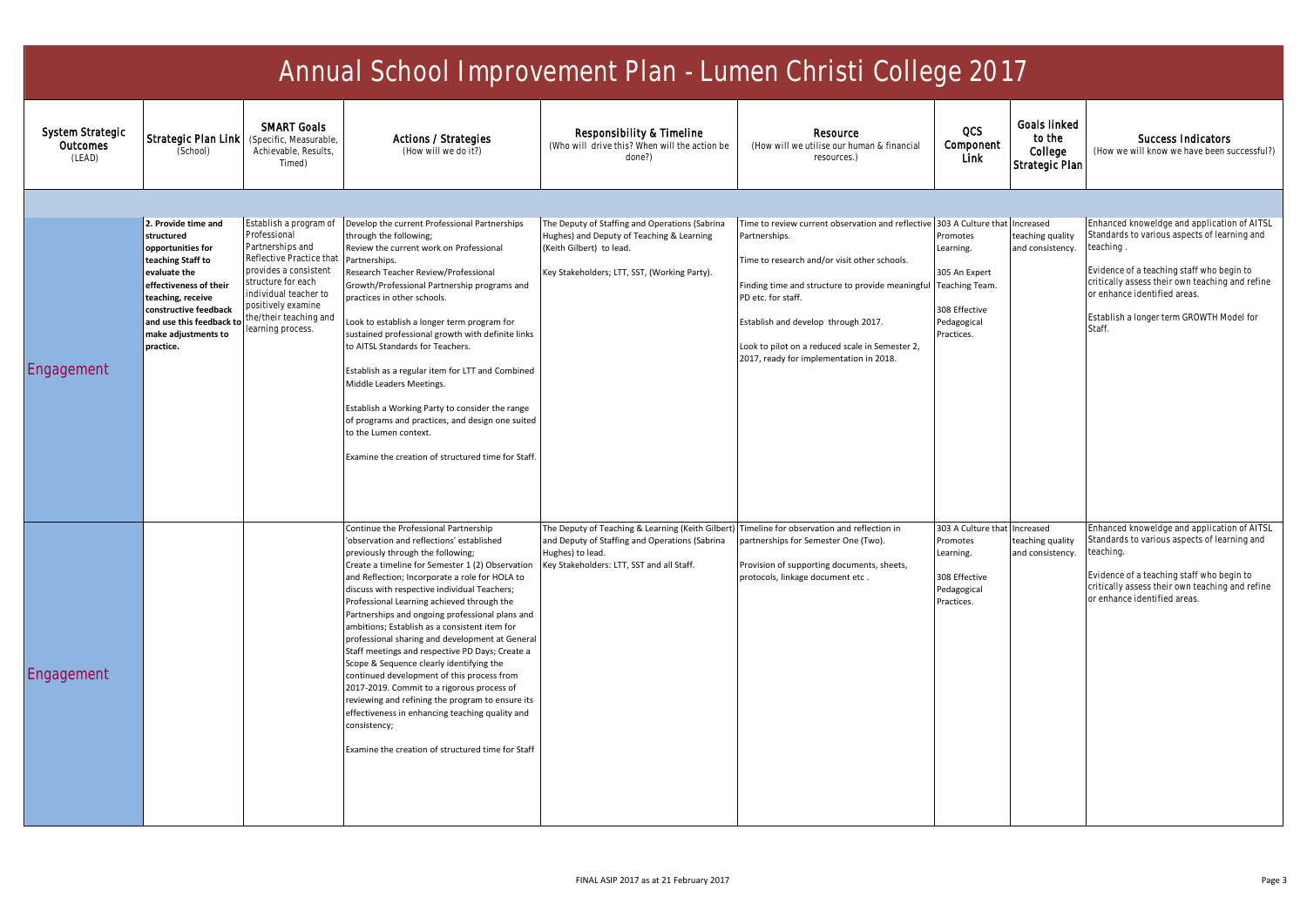| Annual School Improvement Plan - Lumen Christi College 2017 |                                                                                                                                                                                                                                     |                                                                                                                                                                                                                                     |                                                                                                                                                                                                                                                                                                                                                                                                                                                                                                                                                                                                                                                                                                                                                                                                                                                           |                                                                                                                                                                                                                 |                                                                                                                                                                                                                                                                                                                                                  |                                                                                                            |                                                     |                                                                                                                                                                                                                                                                                               |  |
|-------------------------------------------------------------|-------------------------------------------------------------------------------------------------------------------------------------------------------------------------------------------------------------------------------------|-------------------------------------------------------------------------------------------------------------------------------------------------------------------------------------------------------------------------------------|-----------------------------------------------------------------------------------------------------------------------------------------------------------------------------------------------------------------------------------------------------------------------------------------------------------------------------------------------------------------------------------------------------------------------------------------------------------------------------------------------------------------------------------------------------------------------------------------------------------------------------------------------------------------------------------------------------------------------------------------------------------------------------------------------------------------------------------------------------------|-----------------------------------------------------------------------------------------------------------------------------------------------------------------------------------------------------------------|--------------------------------------------------------------------------------------------------------------------------------------------------------------------------------------------------------------------------------------------------------------------------------------------------------------------------------------------------|------------------------------------------------------------------------------------------------------------|-----------------------------------------------------|-----------------------------------------------------------------------------------------------------------------------------------------------------------------------------------------------------------------------------------------------------------------------------------------------|--|
| System Strategic<br>Outcomes<br>(LEAD)                      | Strategic Plan Link<br>(School)                                                                                                                                                                                                     | <b>SMART Goals</b><br>(Specific, Measurable,<br>Achievable, Results.<br>Timed)                                                                                                                                                      | Actions / Strategies<br>(How will we do it?)                                                                                                                                                                                                                                                                                                                                                                                                                                                                                                                                                                                                                                                                                                                                                                                                              | Responsibility & Timeline<br>(Who will drive this? When will the action be<br>done?)                                                                                                                            | Resource<br>(How will we utilise our human & financial<br>resources.)                                                                                                                                                                                                                                                                            | QCS<br>Component<br><b>Link</b>                                                                            | Goals linked<br>to the<br>College<br>Strategic Plan | Success Indicators<br>(How we will know we have been successful?)                                                                                                                                                                                                                             |  |
|                                                             |                                                                                                                                                                                                                                     |                                                                                                                                                                                                                                     |                                                                                                                                                                                                                                                                                                                                                                                                                                                                                                                                                                                                                                                                                                                                                                                                                                                           |                                                                                                                                                                                                                 |                                                                                                                                                                                                                                                                                                                                                  |                                                                                                            |                                                     |                                                                                                                                                                                                                                                                                               |  |
| Engagement                                                  | 2. Provide time and<br>structured<br>opportunities for<br>teaching Staff to<br>evaluate the<br>effectiveness of their<br>teaching, receive<br>constructive feedback<br>and use this feedback to<br>make adjustments to<br>practice. | Establish a program of<br>Professional<br>Partnerships and<br>Reflective Practice that<br>provides a consistent<br>structure for each<br>individual teacher to<br>positively examine<br>the/their teaching and<br>learning process. | Develop the current Professional Partnerships<br>through the following;<br>Review the current work on Professional<br>Partnerships.<br>Research Teacher Review/Professional<br>Growth/Professional Partnership programs and<br>practices in other schools.<br>Look to establish a longer term program for<br>sustained professional growth with definite links<br>to AITSL Standards for Teachers.<br>Establish as a regular item for LTT and Combined<br>Middle Leaders Meetings.<br>Establish a Working Party to consider the range<br>of programs and practices, and design one suited<br>to the Lumen context.<br>Examine the creation of structured time for Staff.                                                                                                                                                                                  | The Deputy of Staffing and Operations (Sabrina<br>Hughes) and Deputy of Teaching & Learning<br>(Keith Gilbert) to lead.<br>Key Stakeholders; LTT, SST, (Working Party).                                         | Time to review current observation and reflective<br>Partnerships.<br>Time to research and/or visit other schools.<br>Finding time and structure to provide meaningful Teaching Team.<br>PD etc. for staff.<br>Establish and develop through 2017.<br>Look to pilot on a reduced scale in Semester 2,<br>2017, ready for implementation in 2018. | 303 A Culture that<br>Promotes<br>Learning.<br>305 An Expert<br>308 Effective<br>Pedagogical<br>Practices. | Increased<br>teaching quality<br>and consistency.   | Enhanced knoweldge and application of AITSL<br>Standards to various aspects of learning and<br>teaching<br>Evidence of a teaching staff who begin to<br>critically assess their own teaching and refine<br>or enhance identified areas.<br>Establish a longer term GROWTH Model for<br>Staff. |  |
| Engagement                                                  |                                                                                                                                                                                                                                     |                                                                                                                                                                                                                                     | Continue the Professional Partnership<br>'observation and reflections' established<br>previously through the following;<br>Create a timeline for Semester 1 (2) Observation<br>and Reflection; Incorporate a role for HOLA to<br>discuss with respective individual Teachers;<br>Professional Learning achieved through the<br>Partnerships and ongoing professional plans and<br>ambitions; Establish as a consistent item for<br>professional sharing and development at General<br>Staff meetings and respective PD Days; Create a<br>Scope & Sequence clearly identifying the<br>continued development of this process from<br>2017-2019. Commit to a rigorous process of<br>reviewing and refining the program to ensure its<br>effectiveness in enhancing teaching quality and<br>consistency;<br>Examine the creation of structured time for Staff | The Deputy of Teaching & Learning (Keith Gilbert) Timeline for observation and reflection in<br>and Deputy of Staffing and Operations (Sabrina<br>Hughes) to lead.<br>Key Stakeholders: LTT, SST and all Staff. | partnerships for Semester One (Two).<br>Provision of supporting documents, sheets,<br>protocols, linkage document etc.                                                                                                                                                                                                                           | 303 A Culture that<br>Promotes<br>Learning.<br>308 Effective<br>Pedagogical<br>Practices.                  | Increased<br>teaching quality<br>and consistency    | Enhanced knoweldge and application of AITSL<br>Standards to various aspects of learning and<br>teaching.<br>Evidence of a teaching staff who begin to<br>critically assess their own teaching and refine<br>or enhance identified areas.                                                      |  |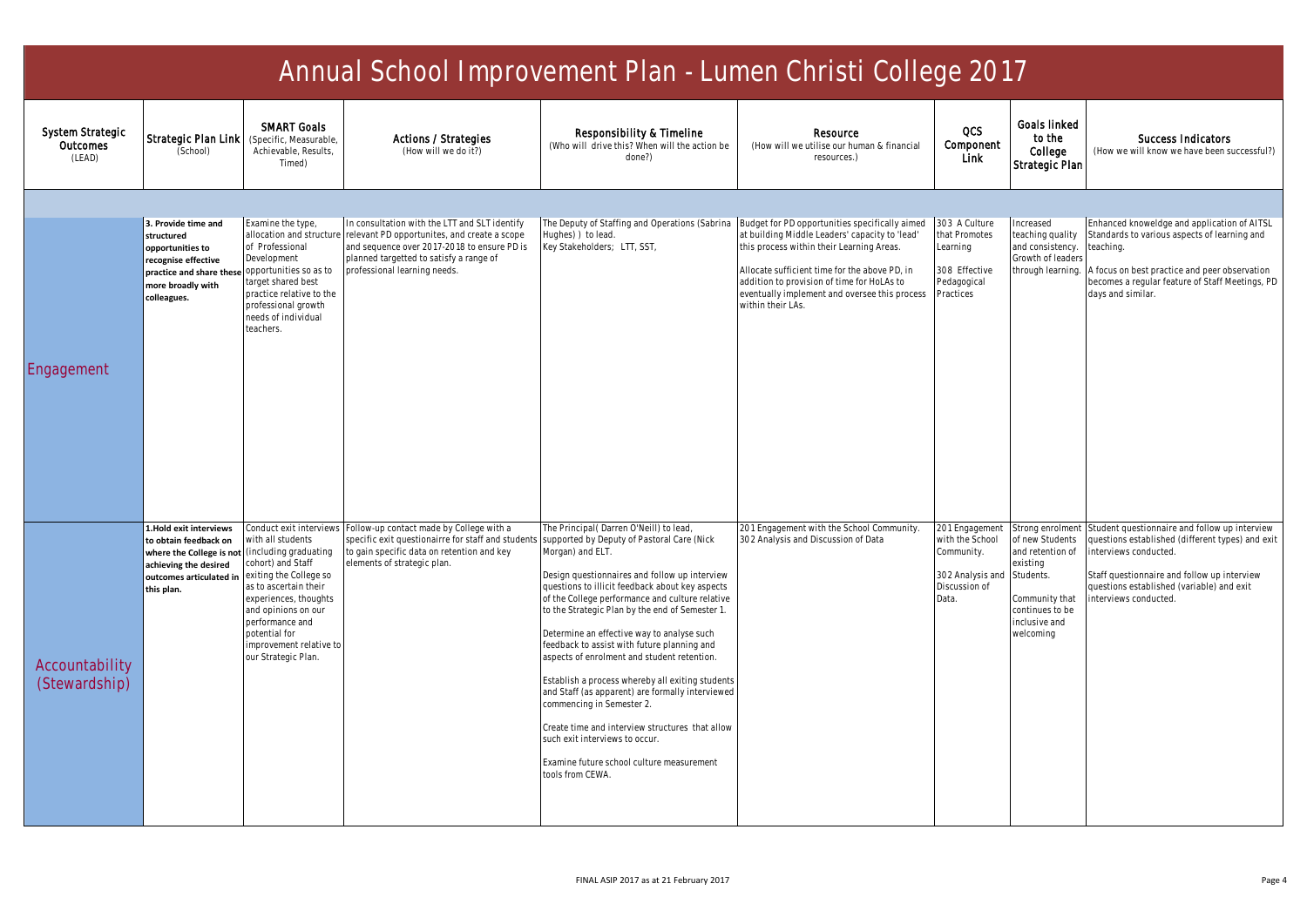| Annual School Improvement Plan - Lumen Christi College 2017 |                                                                                                                                                                     |                                                                                                                                                                                                                                                            |                                                                                                                                                                                                                         |                                                                                                                                                                                                                                                                                                                                                                                                                                                                                                                                                                                                                                                                                                                                                           |                                                                                                                                                                                                                                                                  |                                                                                               |                                                                                                                                                    |                                                                                                                                                                                                                                                 |  |
|-------------------------------------------------------------|---------------------------------------------------------------------------------------------------------------------------------------------------------------------|------------------------------------------------------------------------------------------------------------------------------------------------------------------------------------------------------------------------------------------------------------|-------------------------------------------------------------------------------------------------------------------------------------------------------------------------------------------------------------------------|-----------------------------------------------------------------------------------------------------------------------------------------------------------------------------------------------------------------------------------------------------------------------------------------------------------------------------------------------------------------------------------------------------------------------------------------------------------------------------------------------------------------------------------------------------------------------------------------------------------------------------------------------------------------------------------------------------------------------------------------------------------|------------------------------------------------------------------------------------------------------------------------------------------------------------------------------------------------------------------------------------------------------------------|-----------------------------------------------------------------------------------------------|----------------------------------------------------------------------------------------------------------------------------------------------------|-------------------------------------------------------------------------------------------------------------------------------------------------------------------------------------------------------------------------------------------------|--|
| System Strategic<br>Outcomes<br>(LEAD)                      | Strategic Plan Link<br>(School)                                                                                                                                     | <b>SMART Goals</b><br>(Specific, Measurable,<br>Achievable, Results,<br>Timed)                                                                                                                                                                             | Actions / Strategies<br>(How will we do it?)                                                                                                                                                                            | Responsibility & Timeline<br>(Who will drive this? When will the action be<br>done?)                                                                                                                                                                                                                                                                                                                                                                                                                                                                                                                                                                                                                                                                      | Resource<br>(How will we utilise our human & financial<br>resources.)                                                                                                                                                                                            | OCS<br>Component<br>Link                                                                      | <b>Goals linked</b><br>to the<br>College<br>Strategic Plan                                                                                         | Success Indicators<br>(How we will know we have been successful?)                                                                                                                                                                               |  |
|                                                             |                                                                                                                                                                     |                                                                                                                                                                                                                                                            |                                                                                                                                                                                                                         |                                                                                                                                                                                                                                                                                                                                                                                                                                                                                                                                                                                                                                                                                                                                                           |                                                                                                                                                                                                                                                                  |                                                                                               |                                                                                                                                                    |                                                                                                                                                                                                                                                 |  |
|                                                             | 3. Provide time and<br>structured<br>opportunities to<br>recognise effective<br>practice and share these opportunities so as to<br>more broadly with<br>colleagues. | Examine the type,<br>allocation and structure<br>of Professional<br>Development<br>arget shared best<br>practice relative to the<br>professional growth<br>needs of individual<br>teachers.                                                                | In consultation with the LTT and SLT identify<br>relevant PD opportunites, and create a scope<br>and sequence over 2017-2018 to ensure PD is<br>planned targetted to satisfy a range of<br>professional learning needs. | The Deputy of Staffing and Operations (Sabrina Budget for PD opportunities specifically aimed<br>lughes) ) to lead.<br>Key Stakeholders; LTT, SST,                                                                                                                                                                                                                                                                                                                                                                                                                                                                                                                                                                                                        | at building Middle Leaders' capacity to 'lead'<br>this process within their Learning Areas.<br>Allocate sufficient time for the above PD, in<br>addition to provision of time for HoLAs to<br>eventually implement and oversee this process<br>within their LAs. | 303 A Culture<br>that Promotes<br>Learning<br>308 Effective<br>Pedagogical<br>Practices       | Increased<br>teaching quality<br>and consistency.<br>Growth of leader<br>through learning.                                                         | Enhanced knoweldge and application of AITSL<br>Standards to various aspects of learning and<br>teaching.<br>A focus on best practice and peer observation<br>becomes a regular feature of Staff Meetings, PD<br>days and similar.               |  |
| Engagement                                                  |                                                                                                                                                                     |                                                                                                                                                                                                                                                            |                                                                                                                                                                                                                         |                                                                                                                                                                                                                                                                                                                                                                                                                                                                                                                                                                                                                                                                                                                                                           |                                                                                                                                                                                                                                                                  |                                                                                               |                                                                                                                                                    |                                                                                                                                                                                                                                                 |  |
| Accountability<br>(Stewardship)                             | 1.Hold exit interviews<br>to obtain feedback on<br>where the College is not (including graduating<br>achieving the desired<br>outcomes articulated in<br>this plan. | Conduct exit interview:<br>vith all students<br>cohort) and Staff<br>exiting the College so<br>as to ascertain their<br>experiences, thoughts<br>and opinions on our<br>performance and<br>potential for<br>improvement relative to<br>our Strategic Plan. | Follow-up contact made by College with a<br>specific exit questionairre for staff and students<br>to gain specific data on retention and key<br>elements of strategic plan                                              | The Principal (Darren O'Neill) to lead,<br>supported by Deputy of Pastoral Care (Nick<br>Morgan) and ELT.<br>Design questionnaires and follow up interview<br>questions to illicit feedback about key aspects<br>of the College performance and culture relative<br>to the Strategic Plan by the end of Semester 1.<br>Determine an effective way to analyse such<br>eedback to assist with future planning and<br>aspects of enrolment and student retention.<br>Establish a process whereby all exiting students<br>and Staff (as apparent) are formally interviewed<br>commencing in Semester 2.<br>Create time and interview structures that allow<br>such exit interviews to occur.<br>Examine future school culture measurement<br>tools from CEWA. | 201 Engagement with the School Community.<br>302 Analysis and Discussion of Data                                                                                                                                                                                 | 201 Engagement<br>with the School<br>Community.<br>302 Analysis and<br>Discussion of<br>Data. | Strong enrolmen<br>of new Students<br>and retention of<br>existing<br>Students.<br>Community that<br>continues to be<br>inclusive and<br>welcoming | Student questionnaire and follow up interview<br>questions established (different types) and exit<br>interviews conducted.<br>Staff questionnaire and follow up interview<br>questions established (variable) and exit<br>interviews conducted. |  |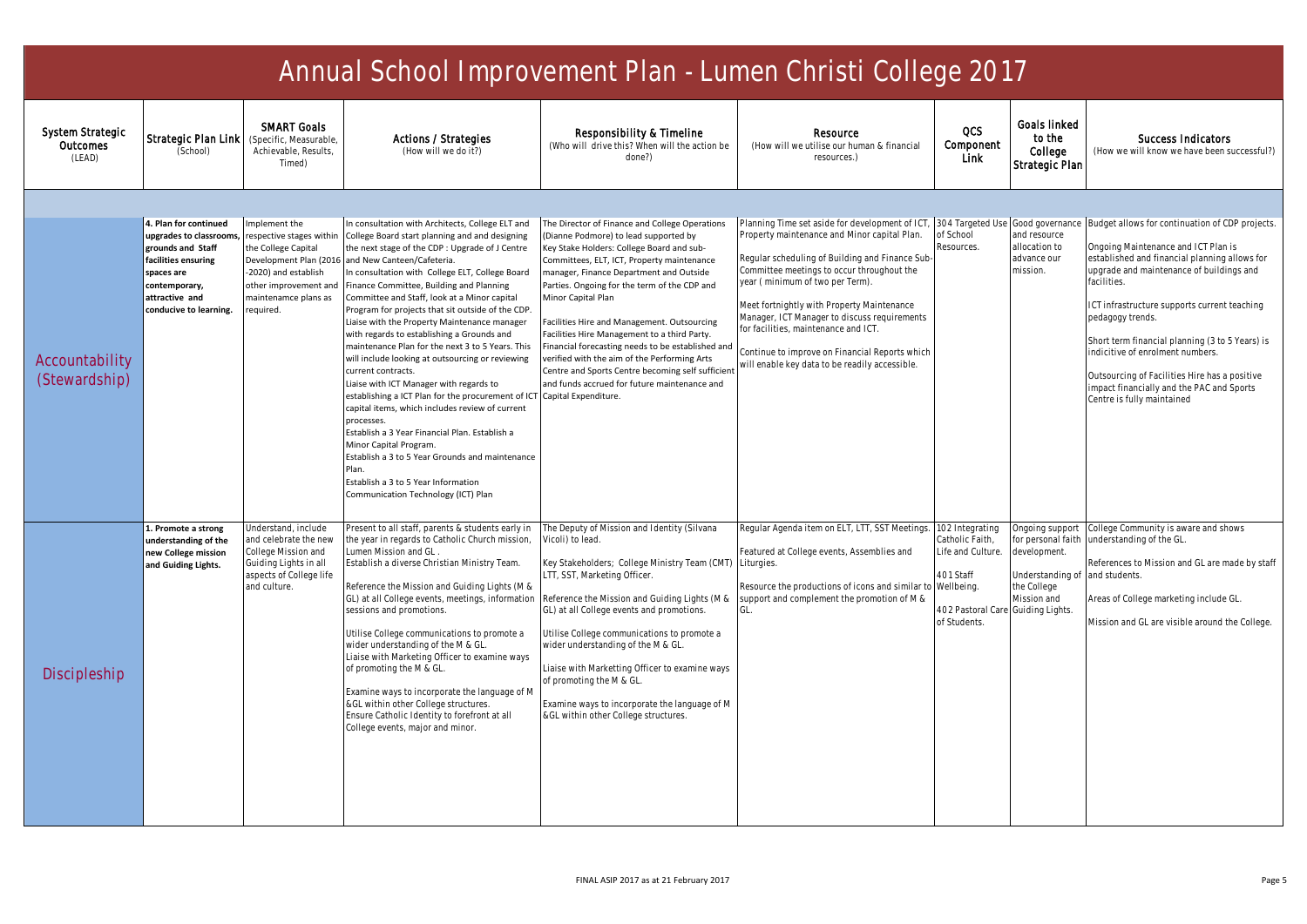| Annual School Improvement Plan - Lumen Christi College 2017 |                                                                                                                                                                         |                                                                                                                                                                                 |                                                                                                                                                                                                                                                                                                                                                                                                                                                                                                                                                                                                                                                                                                                                                                                                                                                                                                                                                                                                             |                                                                                                                                                                                                                                                                                                                                                                                                                                                                                                                                                                                                                                      |                                                                                                                                                                                                                                                                                                                                                                                                                                                                                                |                                                                                                          |                                                                                                                            |                                                                                                                                                                                                                                                                                                                                                                                                                                                                                           |  |
|-------------------------------------------------------------|-------------------------------------------------------------------------------------------------------------------------------------------------------------------------|---------------------------------------------------------------------------------------------------------------------------------------------------------------------------------|-------------------------------------------------------------------------------------------------------------------------------------------------------------------------------------------------------------------------------------------------------------------------------------------------------------------------------------------------------------------------------------------------------------------------------------------------------------------------------------------------------------------------------------------------------------------------------------------------------------------------------------------------------------------------------------------------------------------------------------------------------------------------------------------------------------------------------------------------------------------------------------------------------------------------------------------------------------------------------------------------------------|--------------------------------------------------------------------------------------------------------------------------------------------------------------------------------------------------------------------------------------------------------------------------------------------------------------------------------------------------------------------------------------------------------------------------------------------------------------------------------------------------------------------------------------------------------------------------------------------------------------------------------------|------------------------------------------------------------------------------------------------------------------------------------------------------------------------------------------------------------------------------------------------------------------------------------------------------------------------------------------------------------------------------------------------------------------------------------------------------------------------------------------------|----------------------------------------------------------------------------------------------------------|----------------------------------------------------------------------------------------------------------------------------|-------------------------------------------------------------------------------------------------------------------------------------------------------------------------------------------------------------------------------------------------------------------------------------------------------------------------------------------------------------------------------------------------------------------------------------------------------------------------------------------|--|
| System Strategic<br>Outcomes<br>(LEAD)                      | Strategic Plan Link<br>(School)                                                                                                                                         | <b>SMART Goals</b><br>(Specific, Measurable)<br>Achievable, Results,<br>Timed)                                                                                                  | Actions / Strategies<br>(How will we do it?)                                                                                                                                                                                                                                                                                                                                                                                                                                                                                                                                                                                                                                                                                                                                                                                                                                                                                                                                                                | Responsibility & Timeline<br>(Who will drive this? When will the action be<br>done?)                                                                                                                                                                                                                                                                                                                                                                                                                                                                                                                                                 | Resource<br>(How will we utilise our human & financial<br>resources.)                                                                                                                                                                                                                                                                                                                                                                                                                          | QCS<br>Component<br>Link                                                                                 | <b>Goals linked</b><br>to the<br>College<br>Strategic Plan                                                                 | Success Indicators<br>(How we will know we have been successful?)                                                                                                                                                                                                                                                                                                                                                                                                                         |  |
|                                                             |                                                                                                                                                                         |                                                                                                                                                                                 |                                                                                                                                                                                                                                                                                                                                                                                                                                                                                                                                                                                                                                                                                                                                                                                                                                                                                                                                                                                                             |                                                                                                                                                                                                                                                                                                                                                                                                                                                                                                                                                                                                                                      |                                                                                                                                                                                                                                                                                                                                                                                                                                                                                                |                                                                                                          |                                                                                                                            |                                                                                                                                                                                                                                                                                                                                                                                                                                                                                           |  |
| Accountability<br>(Stewardship)                             | 4. Plan for continued<br>upgrades to classrooms,<br>grounds and Staff<br>facilities ensuring<br>spaces are<br>contemporary,<br>attractive and<br>conducive to learning. | mplement the<br>respective stages within<br>the College Capital<br>Development Plan (2016<br>-2020) and establish<br>other improvement and<br>maintenamce plans as<br>required. | In consultation with Architects, College ELT and<br>College Board start planning and and designing<br>the next stage of the CDP : Upgrade of J Centre<br>and New Canteen/Cafeteria.<br>In consultation with College ELT, College Board<br>Finance Committee, Building and Planning<br>Committee and Staff, look at a Minor capital<br>Program for projects that sit outside of the CDP.<br>Liaise with the Property Maintenance manager<br>with regards to establishing a Grounds and<br>maintenance Plan for the next 3 to 5 Years. This<br>will include looking at outsourcing or reviewing<br>current contracts.<br>Liaise with ICT Manager with regards to<br>establishing a ICT Plan for the procurement of ICT<br>capital items, which includes review of current<br>processes.<br>Establish a 3 Year Financial Plan. Establish a<br>Minor Capital Program.<br>Establish a 3 to 5 Year Grounds and maintenance<br>Plan.<br>Establish a 3 to 5 Year Information<br>Communication Technology (ICT) Plan | The Director of Finance and College Operations<br>(Dianne Podmore) to lead supported by<br>Key Stake Holders: College Board and sub-<br>Committees, ELT, ICT, Property maintenance<br>manager, Finance Department and Outside<br>Parties. Ongoing for the term of the CDP and<br>Minor Capital Plan<br>Facilities Hire and Management. Outsourcing<br>Facilities Hire Management to a third Party.<br>Financial forecasting needs to be established and<br>verified with the aim of the Performing Arts<br>Centre and Sports Centre becoming self sufficient<br>and funds accrued for future maintenance and<br>Capital Expenditure. | Planning Time set aside for development of ICT, 304 Targeted Use<br>Property maintenance and Minor capital Plan.<br>Regular scheduling of Building and Finance Sub-<br>Committee meetings to occur throughout the<br>year (minimum of two per Term).<br>Meet fortnightly with Property Maintenance<br>Manager, ICT Manager to discuss requirements<br>for facilities, maintenance and ICT.<br>Continue to improve on Financial Reports which<br>vill enable key data to be readily accessible. | of School<br>Resources.                                                                                  | Good governance<br>and resource<br>allocation to<br>advance our<br>mission.                                                | Budget allows for continuation of CDP projects.<br>Ongoing Maintenance and ICT Plan is<br>established and financial planning allows for<br>upgrade and maintenance of buildings and<br>facilities.<br>ICT infrastructure supports current teaching<br>pedagogy trends.<br>Short term financial planning (3 to 5 Years) is<br>indicitive of enrolment numbers.<br>Outsourcing of Facilities Hire has a positive<br>impact financially and the PAC and Sports<br>Centre is fully maintained |  |
| Discipleship                                                | 1. Promote a strong<br>understanding of the<br>new College mission<br>and Guiding Lights.                                                                               | Inderstand, include<br>and celebrate the new<br>College Mission and<br>Guiding Lights in all<br>aspects of College life<br>and culture.                                         | Present to all staff, parents & students early in<br>the year in regards to Catholic Church mission,<br>Lumen Mission and GL<br>Establish a diverse Christian Ministry Team.<br>Reference the Mission and Guiding Lights (M &<br>GL) at all College events, meetings, information<br>sessions and promotions.<br>Utilise College communications to promote a<br>wider understanding of the M & GL.<br>Liaise with Marketing Officer to examine ways<br>of promoting the M & GL.<br>Examine ways to incorporate the language of M<br>&GL within other College structures.<br>Ensure Catholic Identity to forefront at all<br>College events, major and minor.                                                                                                                                                                                                                                                                                                                                                | The Deputy of Mission and Identity (Silvana<br>Vicoli) to lead.<br>Key Stakeholders; College Ministry Team (CMT) Liturgies.<br>LTT, SST, Marketing Officer.<br>Reference the Mission and Guiding Lights (M &<br>GL) at all College events and promotions.<br>Utilise College communications to promote a<br>wider understanding of the M & GL.<br>Liaise with Marketting Officer to examine ways<br>of promoting the M & GL<br>Examine ways to incorporate the language of M<br>&GL within other College structures.                                                                                                                 | Regular Agenda item on ELT, LTT, SST Meetings.<br>Featured at College events, Assemblies and<br>Resource the productions of icons and similar to Wellbeing.<br>support and complement the promotion of M &<br>GL.                                                                                                                                                                                                                                                                              | 102 Integrating<br>Catholic Faith,<br>Life and Culture.<br>401 Staff<br>402 Pastoral Car<br>of Students. | Ingoing support<br>for personal faith<br>development.<br>Understanding of<br>the College<br>Mission and<br>Guiding Lights. | College Community is aware and shows<br>understanding of the GL.<br>References to Mission and GL are made by staff<br>and students.<br>Areas of College marketing include GL.<br>Mission and GL are visible around the College.                                                                                                                                                                                                                                                           |  |